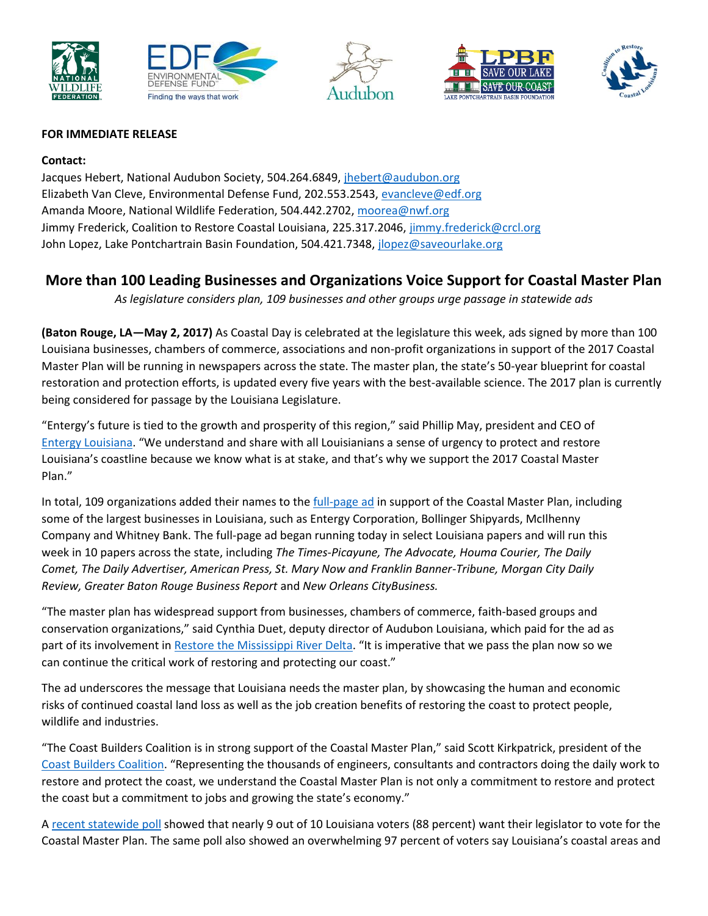









## **FOR IMMEDIATE RELEASE**

## **Contact:**

Jacques Hebert, National Audubon Society, 504.264.6849, [jhebert@audubon.org](mailto:jhebert@audubon.org) Elizabeth Van Cleve, Environmental Defense Fund, 202.553.2543, [evancleve@edf.org](mailto:evancleve@edf.org) Amanda Moore, National Wildlife Federation, 504.442.2702, [moorea@nwf.org](mailto:moorea@nwf.org) Jimmy Frederick, Coalition to Restore Coastal Louisiana, 225.317.2046, [jimmy.frederick@crcl.org](mailto:jimmy.frederick@crcl.org) John Lopez, Lake Pontchartrain Basin Foundation, 504.421.7348, [jlopez@saveourlake.org](mailto:jlopez@saveourlake.org)

## **More than 100 Leading Businesses and Organizations Voice Support for Coastal Master Plan**

*As legislature considers plan, 109 businesses and other groups urge passage in statewide ads*

**(Baton Rouge, LA—May 2, 2017)** As Coastal Day is celebrated at the legislature this week, ads signed by more than 100 Louisiana businesses, chambers of commerce, associations and non-profit organizations in support of the 2017 Coastal Master Plan will be running in newspapers across the state. The master plan, the state's 50-year blueprint for coastal restoration and protection efforts, is updated every five years with the best-available science. The 2017 plan is currently being considered for passage by the Louisiana Legislature.

"Entergy's future is tied to the growth and prosperity of this region," said Phillip May, president and CEO of [Entergy Louisiana](http://www.entergy-louisiana.com/). "We understand and share with all Louisianians a sense of urgency to protect and restore Louisiana's coastline because we know what is at stake, and that's why we support the 2017 Coastal Master Plan."

In total, 109 organizations added their names to the [full-page ad](http://mississippiriverdelta.org/files/2017/04/MRD-MP17FullSignOnAd.pdf) in support of the Coastal Master Plan, including some of the largest businesses in Louisiana, such as Entergy Corporation, Bollinger Shipyards, McIlhenny Company and Whitney Bank. The full-page ad began running today in select Louisiana papers and will run this week in 10 papers across the state, including *The Times-Picayune, The Advocate, Houma Courier, The Daily Comet, The Daily Advertiser, American Press, St. Mary Now and Franklin Banner-Tribune, Morgan City Daily Review, Greater Baton Rouge Business Report* and *New Orleans CityBusiness.*

"The master plan has widespread support from businesses, chambers of commerce, faith-based groups and conservation organizations," said Cynthia Duet, deputy director of Audubon Louisiana, which paid for the ad as part of its involvement i[n Restore the Mississippi River Delta.](http://mississippiriverdelta.org/) "It is imperative that we pass the plan now so we can continue the critical work of restoring and protecting our coast."

The ad underscores the message that Louisiana needs the master plan, by showcasing the human and economic risks of continued coastal land loss as well as the job creation benefits of restoring the coast to protect people, wildlife and industries.

"The Coast Builders Coalition is in strong support of the Coastal Master Plan," said Scott Kirkpatrick, president of the [Coast Builders Coalition](http://www.coastbuilderscoalition.org/). "Representing the thousands of engineers, consultants and contractors doing the daily work to restore and protect the coast, we understand the Coastal Master Plan is not only a commitment to restore and protect the coast but a commitment to jobs and growing the state's economy."

A [recent statewide poll](http://mississippiriverdelta.org/new-poll-shows-88-percent-louisianians-support-2017-coastal-master-plan/) showed that nearly 9 out of 10 Louisiana voters (88 percent) want their legislator to vote for the Coastal Master Plan. The same poll also showed an overwhelming 97 percent of voters say Louisiana's coastal areas and